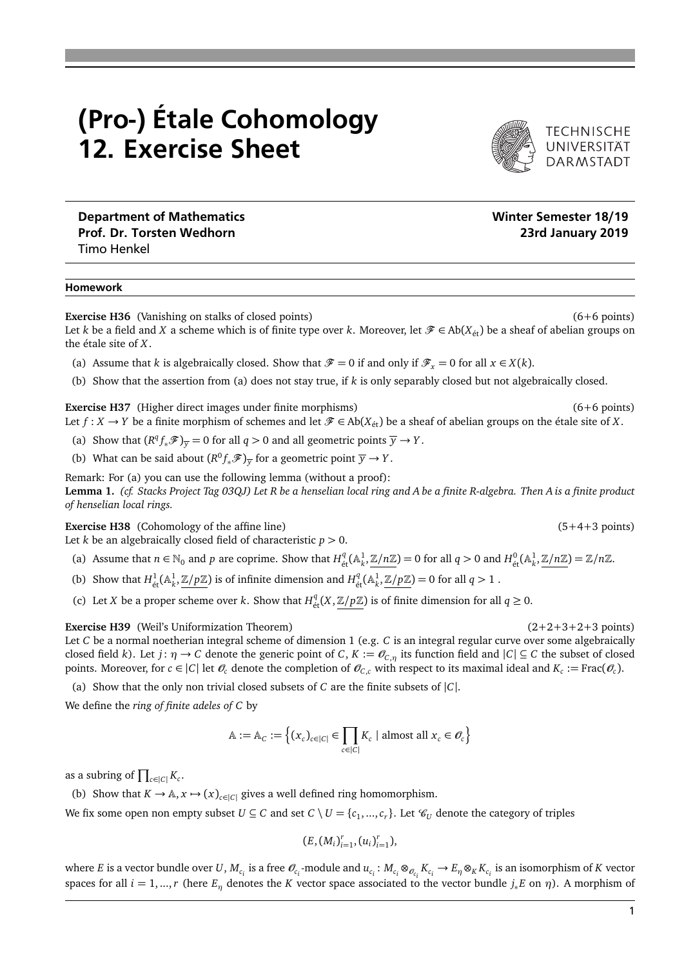## (Pro-) Étale Cohomology 12. Exercise Sheet

TECHNISCHE<br>UNIVERSITÄT

Department of Mathematics Number of Mathematics Number of Mathematics Number of Mathematics Number of Mathematics Prof. Dr. Torsten Wedhorn 23rd January 2019 Timo Henkel

## Homework

**Exercise H36** (Vanishing on stalks of closed points) (6+6 points) (6+6 points)

Let *k* be a field and *X* a scheme which is of finite type over *k*. Moreover, let  $\mathcal{F} \in Ab(X_{\text{\'et}})$  be a sheaf of abelian groups on the étale site of *X*.

- (a) Assume that *k* is algebraically closed. Show that  $\mathcal{F} = 0$  if and only if  $\mathcal{F}_x = 0$  for all  $x \in X(k)$ .
- (b) Show that the assertion from (a) does not stay true, if *k* is only separably closed but not algebraically closed.

**Exercise H37** (Higher direct images under finite morphisms) (6+6 points) (6+6 points) Let  $f: X \to Y$  be a finite morphism of schemes and let  $\mathcal{F} \in Ab(X_{\text{\'et}})$  be a sheaf of abelian groups on the étale site of *X*.

- (a) Show that  $(R^q f_* \mathcal{F})_{\overline{y}} = 0$  for all  $q > 0$  and all geometric points  $\overline{y} \to Y$ .
- (b) What can be said about  $(R^0 f_* \mathscr{F})_{\overline{y}}$  for a geometric point  $\overline{y} \to Y$ .

Remark: For (a) you can use the following lemma (without a proof): **Lemma 1.** *(cf. Stacks Project Tag 03QJ) Let R be a henselian local ring and A be a finite R-algebra. Then A is a finite product of henselian local rings.*

**Exercise H38** (Cohomology of the affine line) (5+4+3 points)

Let *k* be an algebraically closed field of characteristic  $p > 0$ .

- (a) Assume that  $n \in \mathbb{N}_0$  and p are coprime. Show that  $H^q_{\text{\'et}}(\mathbb{A}^1_k, \mathbb{Z}/n\mathbb{Z}) = 0$  for all  $q > 0$  and  $H^0_{\text{\'et}}(\mathbb{A}^1_k, \mathbb{Z}/n\mathbb{Z}) = \mathbb{Z}/n\mathbb{Z}$ .
- (b) Show that  $H^1_{\text{\'et}}(\mathbb{A}^1_k, \mathbb{Z}/p\mathbb{Z})$  is of infinite dimension and  $H^q_{\text{\'et}}(\mathbb{A}^1_k, \mathbb{Z}/p\mathbb{Z}) = 0$  for all  $q > 1$ .
- (c) Let *X* be a proper scheme over *k*. Show that  $H_{\text{\'et}}^q(X, \mathbb{Z}/p\mathbb{Z})$  is of finite dimension for all  $q \ge 0$ .

**Exercise H39** (Weil's Uniformization Theorem) (2+2+3+2+3 points)

Let *C* be a normal noetherian integral scheme of dimension 1 (e.g. *C* is an integral regular curve over some algebraically closed field *k*). Let *j*:  $\eta \to C$  denote the generic point of *C*,  $K := \mathcal{O}_{C,\eta}$  its function field and  $|C| \subseteq C$  the subset of closed points. Moreover, for  $c \in |C|$  let  $\mathcal{O}_c$  denote the completion of  $\mathcal{O}_{C,c}$  with respect to its maximal ideal and  $K_c := \text{Frac}(\mathcal{O}_c)$ .

(a) Show that the only non trivial closed subsets of *C* are the finite subsets of |*C*|.

We define the *ring of finite adeles of C* by

$$
\mathbb{A} := \mathbb{A}_C := \left\{ (x_c)_{c \in |C|} \in \prod_{c \in |C|} K_c \mid \text{almost all } x_c \in \mathcal{O}_c \right\}
$$

as a subring of  $\prod_{c \in |C|} K_c$ .

(b) Show that  $K \to \mathbb{A}, x \mapsto (x)_{c \in |C|}$  gives a well defined ring homomorphism.

We fix some open non empty subset  $U \subseteq C$  and set  $C \setminus U = \{c_1, ..., c_r\}$ . Let  $\mathcal{C}_U$  denote the category of triples

 $(E, (M_i)_{i=1}^r, (u_i)_{i=1}^r),$ 

where E is a vector bundle over U,  $M_{c_i}$  is a free  $\mathcal{O}_{c_i}$ -module and  $u_{c_i}: M_{c_i} \otimes_{\mathcal{O}_{c_i}} K_{c_i} \to E_\eta \otimes_K K_{c_i}$  is an isomorphism of K vector spaces for all  $i = 1, ..., r$  (here  $E_n$  denotes the *K* vector space associated to the vector bundle  $j_*E$  on  $\eta$ ). A morphism of